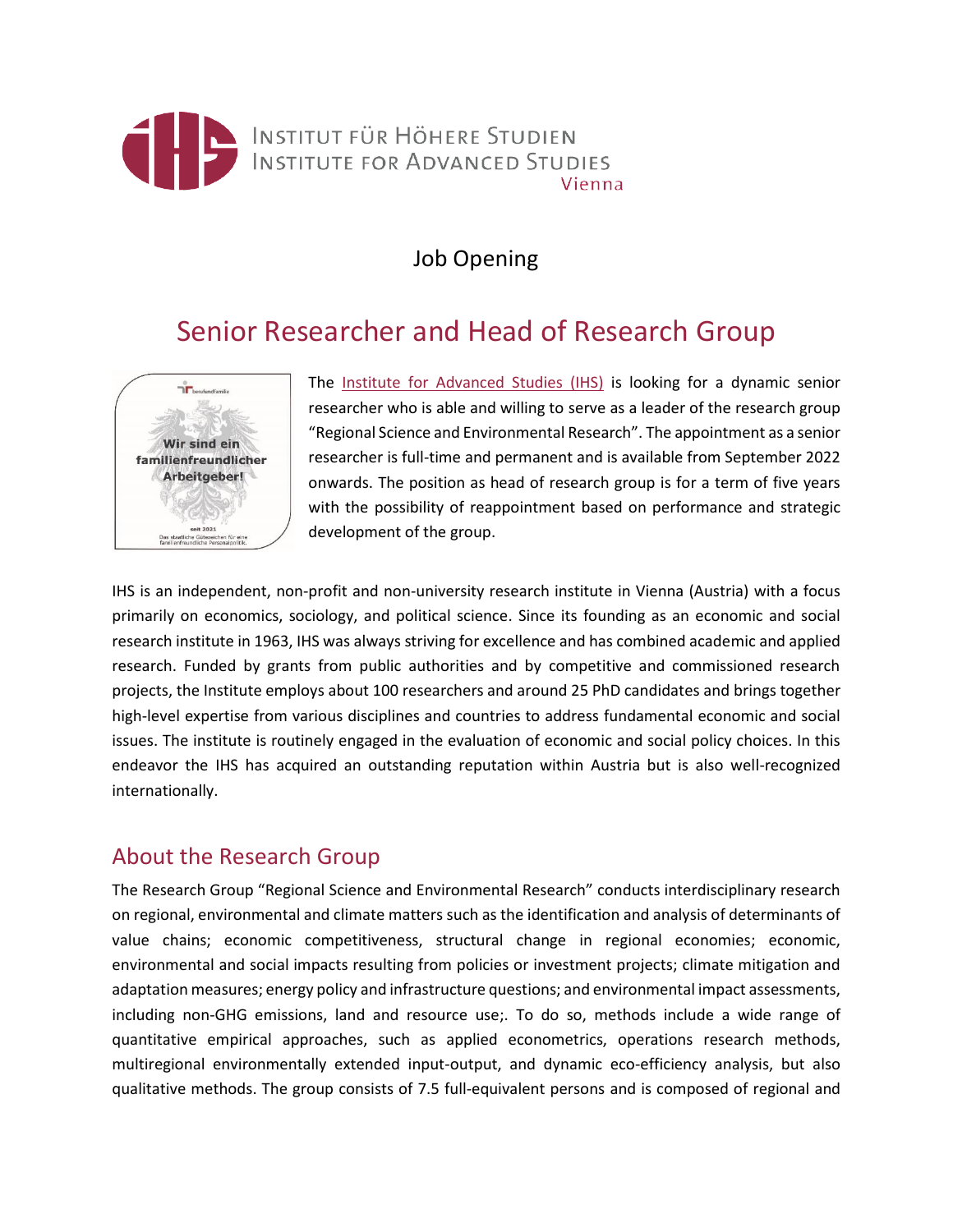

## Job Opening

# Senior Researcher and Head of Research Group



The [Institute for Advanced Studies \(IHS\)](https://www.ihs.ac.at/) is looking for a dynamic senior researcher who is able and willing to serve as a leader of the research group "Regional Science and Environmental Research". The appointment as a senior researcher is full-time and permanent and is available from September 2022 onwards. The position as head of research group is for a term of five years with the possibility of reappointment based on performance and strategic development of the group.

IHS is an independent, non-profit and non-university research institute in Vienna (Austria) with a focus primarily on economics, sociology, and political science. Since its founding as an economic and social research institute in 1963, IHS was always striving for excellence and has combined academic and applied research. Funded by grants from public authorities and by competitive and commissioned research projects, the Institute employs about 100 researchers and around 25 PhD candidates and brings together high-level expertise from various disciplines and countries to address fundamental economic and social issues. The institute is routinely engaged in the evaluation of economic and social policy choices. In this endeavor the IHS has acquired an outstanding reputation within Austria but is also well-recognized internationally.

### About the Research Group

The Research Group "Regional Science and Environmental Research" conducts interdisciplinary research on regional, environmental and climate matters such as the identification and analysis of determinants of value chains; economic competitiveness, structural change in regional economies; economic, environmental and social impacts resulting from policies or investment projects; climate mitigation and adaptation measures; energy policy and infrastructure questions; and environmental impact assessments, including non-GHG emissions, land and resource use;. To do so, methods include a wide range of quantitative empirical approaches, such as applied econometrics, operations research methods, multiregional environmentally extended input-output, and dynamic eco-efficiency analysis, but also qualitative methods. The group consists of 7.5 full-equivalent persons and is composed of regional and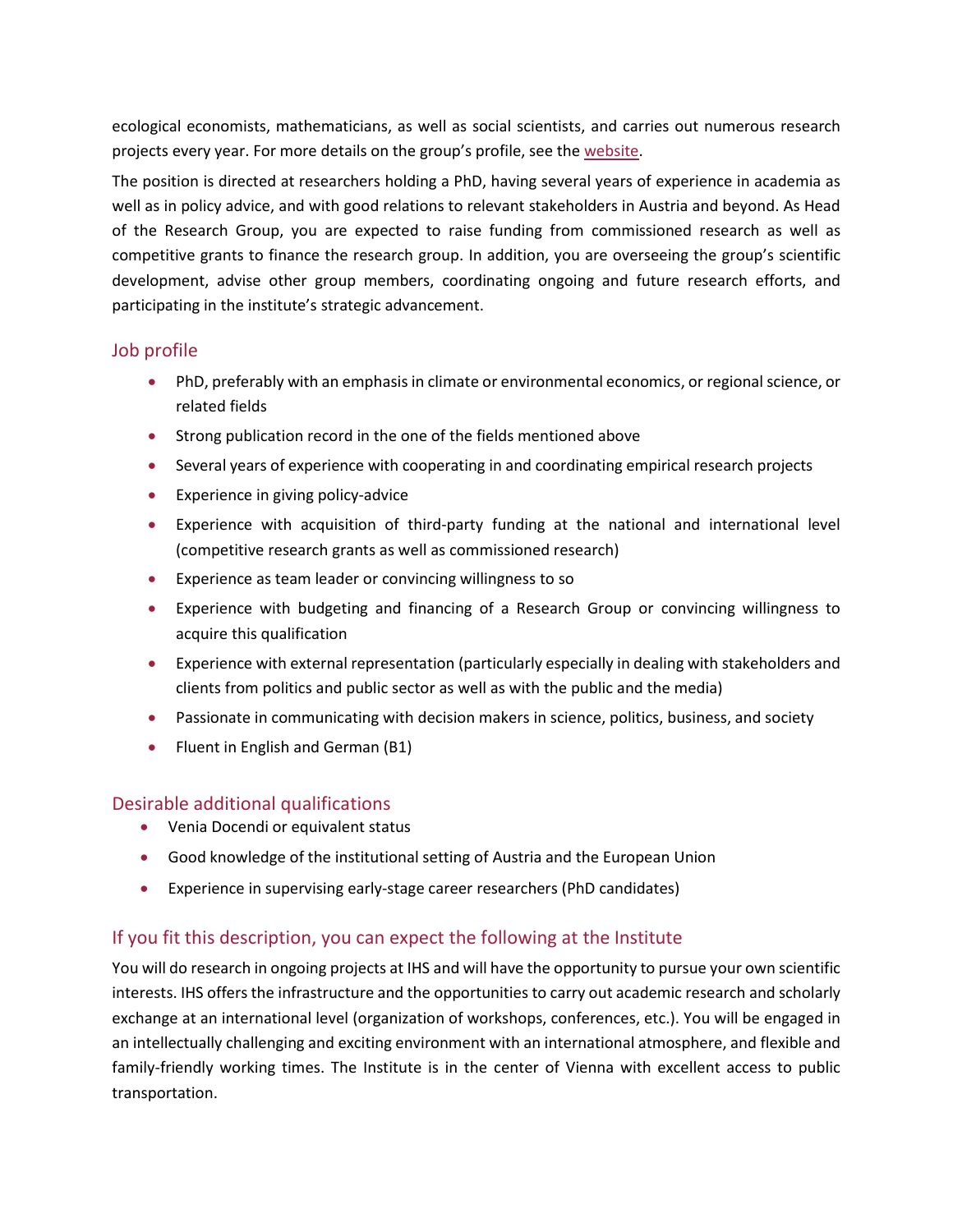ecological economists, mathematicians, as well as social scientists, and carries out numerous research projects every year. For more details on the group's profile, see the [website.](https://www.ihs.ac.at/ru/regional-science-and-environmental-research/)

The position is directed at researchers holding a PhD, having several years of experience in academia as well as in policy advice, and with good relations to relevant stakeholders in Austria and beyond. As Head of the Research Group, you are expected to raise funding from commissioned research as well as competitive grants to finance the research group. In addition, you are overseeing the group's scientific development, advise other group members, coordinating ongoing and future research efforts, and participating in the institute's strategic advancement.

#### Job profile

- PhD, preferably with an emphasis in climate or environmental economics, or regional science, or related fields
- Strong publication record in the one of the fields mentioned above
- Several years of experience with cooperating in and coordinating empirical research projects
- Experience in giving policy-advice
- Experience with acquisition of third-party funding at the national and international level (competitive research grants as well as commissioned research)
- Experience as team leader or convincing willingness to so
- Experience with budgeting and financing of a Research Group or convincing willingness to acquire this qualification
- Experience with external representation (particularly especially in dealing with stakeholders and clients from politics and public sector as well as with the public and the media)
- Passionate in communicating with decision makers in science, politics, business, and society
- Fluent in English and German (B1)

#### Desirable additional qualifications

- Venia Docendi or equivalent status
- Good knowledge of the institutional setting of Austria and the European Union
- Experience in supervising early-stage career researchers (PhD candidates)

#### If you fit this description, you can expect the following at the Institute

You will do research in ongoing projects at IHS and will have the opportunity to pursue your own scientific interests. IHS offers the infrastructure and the opportunities to carry out academic research and scholarly exchange at an international level (organization of workshops, conferences, etc.). You will be engaged in an intellectually challenging and exciting environment with an international atmosphere, and flexible and family-friendly working times. The Institute is in the center of Vienna with excellent access to public transportation.